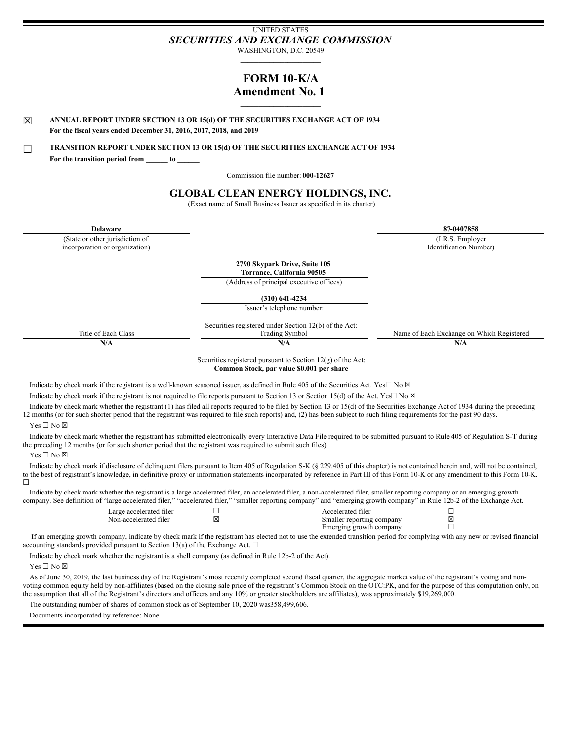# UNITED STATES *SECURITIES AND EXCHANGE COMMISSION*

WASHINGTON, D.C. 20549 **\_\_\_\_\_\_\_\_\_\_\_\_\_\_\_\_\_\_\_\_\_\_**

## **FORM 10-K/A Amendment No. 1 \_\_\_\_\_\_\_\_\_\_\_\_\_\_\_\_\_\_\_\_\_\_**

☒ **ANNUAL REPORT UNDER SECTION <sup>13</sup> OR 15(d) OF THE SECURITIES EXCHANGE ACT OF <sup>1934</sup> For the fiscal years ended December 31, 2016, 2017, 2018, and 2019**

☐ **TRANSITION REPORT UNDER SECTION <sup>13</sup> OR 15(d) OF THE SECURITIES EXCHANGE ACT OF <sup>1934</sup> For the transition period from \_\_\_\_\_\_ to \_\_\_\_\_\_**

Commission file number: **000-12627**

## **GLOBAL CLEAN ENERGY HOLDINGS, INC.**

(Exact name of Small Business Issuer as specified in its charter)

(State or other jurisdiction of incorporation or organization)

**Delaware 87-0407858** (I.R.S. Employer Identification Number)

> **2790 Skypark Drive, Suite 105 Torrance, California 90505**

(Address of principal executive offices)

**(310) 641-4234**

Issuer's telephone number:

Securities registered under Section 12(b) of the Act: Title of Each Class Trading Symbol Name of Each Exchange on Which Registered

**N/A N/A N/A**

Securities registered pursuant to Section 12(g) of the Act: **Common Stock, par value \$0.001 per share**

Indicate by check mark if the registrant is a well-known seasoned issuer, as defined in Rule 405 of the Securities Act. Yes□ No ⊠

Indicate by check mark if the registrant is not required to file reports pursuant to Section 13 or Section 15(d) of the Act. Yes $\Box$  No  $\boxtimes$ 

Indicate by check mark whether the registrant (1) has filed all reports required to be filed by Section 13 or 15(d) of the Securities Exchange Act of 1934 during the preceding 12 months (or for such shorter period that the registrant was required to file such reports) and, (2) has been subject to such filing requirements for the past 90 days.

Yes ☐ No ☒

Indicate by check mark whether the registrant has submitted electronically every Interactive Data File required to be submitted pursuant to Rule 405 of Regulation S-T during the preceding 12 months (or for such shorter period that the registrant was required to submit such files).

Yes □ No ⊠

Indicate by check mark if disclosure of delinquent filers pursuant to Item 405 of Regulation S-K (§ 229.405 of this chapter) is not contained herein and, will not be contained, to the best of registrant's knowledge, in definitive proxy or information statements incorporated by reference in Part III of this Form 10-K or any amendment to this Form 10-K.  $\Box$ 

Indicate by check mark whether the registrant is a large accelerated filer, an accelerated filer, a non-accelerated filer, smaller reporting company or an emerging growth company. See definition of "large accelerated filer," "accelerated filer," "smaller reporting company" and "emerging growth company" in Rule 12b-2 of the Exchange Act.

> Large accelerated filer □<br>
> Non-accelerated filer □<br>
> 図 Smaller reporting company 図 Smaller reporting company  $\boxtimes$ <br>Emerging growth company  $\Box$ Emerging growth company

If an emerging growth company, indicate by check mark if the registrant has elected not to use the extended transition period for complying with any new or revised financial accounting standards provided pursuant to Section 13(a) of the Exchange Act.  $\Box$ 

Indicate by check mark whether the registrant is a shell company (as defined in Rule 12b-2 of the Act).

Yes □ No ⊠

As of June 30, 2019, the last business day of the Registrant's most recently completed second fiscal quarter, the aggregate market value of the registrant's voting and nonvoting common equity held by non-affiliates (based on the closing sale price of the registrant's Common Stock on the OTC:PK, and for the purpose of this computation only, on the assumption that all of the Registrant's directors and officers and any 10% or greater stockholders are affiliates), was approximately \$19,269,000.

The outstanding number of shares of common stock as of September 10, 2020 was358,499,606.

Documents incorporated by reference: None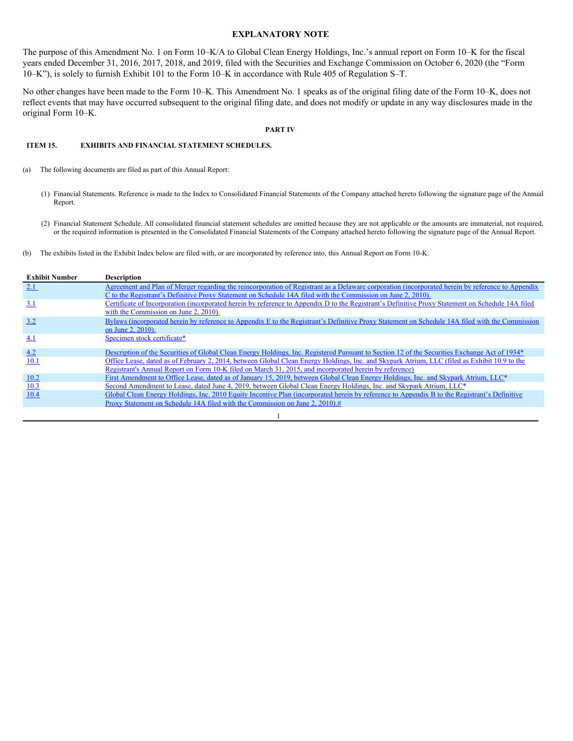## **EXPLANATORY NOTE**

The purpose of this Amendment No. 1 on Form 10–K/A to Global Clean Energy Holdings, Inc.'s annual report on Form 10–K for the fiscal years ended December 31, 2016, 2017, 2018, and 2019, filed with the Securities and Exchange Commission on October 6, 2020 (the "Form 10–K"), is solely to furnish Exhibit 101 to the Form 10–K in accordance with Rule 405 of Regulation S–T.

No other changes have been made to the Form 10–K. This Amendment No. 1 speaks as of the original filing date of the Form 10–K, does not reflect events that may have occurred subsequent to the original filing date, and does not modify or update in any way disclosures made in the original Form 10–K.

#### **PART IV**

### **ITEM 15. EXHIBITS AND FINANCIAL STATEMENT SCHEDULES.**

- (a) The following documents are filed as part of this Annual Report:
	- (1) Financial Statements. Reference is made to the Index to Consolidated Financial Statements of the Company attached hereto following the signature page of the Annual Report.
	- (2) Financial Statement Schedule. All consolidated financial statement schedules are omitted because they are not applicable or the amounts are immaterial, not required, or the required information is presented in the Consolidated Financial Statements of the Company attached hereto following the signature page of the Annual Report.
- (b) The exhibits listed in the Exhibit Index below are filed with, or are incorporated by reference into, this Annual Report on Form 10-K.

| <b>Exhibit Number</b> | <b>Description</b>                                                                                                                                |
|-----------------------|---------------------------------------------------------------------------------------------------------------------------------------------------|
| 2.1                   | Agreement and Plan of Merger regarding the reincorporation of Registrant as a Delaware corporation (incorporated herein by reference to Appendix  |
|                       | C to the Registrant's Definitive Proxy Statement on Schedule 14A filed with the Commission on June 2, 2010).                                      |
| 3.1                   | Certificate of Incorporation (incorporated herein by reference to Appendix D to the Registrant's Definitive Proxy Statement on Schedule 14A filed |
|                       | with the Commission on June 2, 2010).                                                                                                             |
| 3.2                   | Bylaws (incorporated herein by reference to Appendix E to the Registrant's Definitive Proxy Statement on Schedule 14A filed with the Commission   |
|                       | on June 2, 2010).                                                                                                                                 |
| 4.1                   | Specimen stock certificate*                                                                                                                       |
|                       |                                                                                                                                                   |
| 4.2                   | Description of the Securities of Global Clean Energy Holdings, Inc. Registered Pursuant to Section 12 of the Securities Exchange Act of 1934*     |
| <b>10.1</b>           | Office Lease, dated as of February 2, 2014, between Global Clean Energy Holdings, Inc. and Skypark Atrium, LLC (filed as Exhibit 10.9 to the      |
|                       | Registrant's Annual Report on Form 10-K filed on March 31, 2015, and incorporated herein by reference)                                            |
| 10.2                  | First Amendment to Office Lease, dated as of January 15, 2019, between Global Clean Energy Holdings, Inc. and Skypark Atrium, LLC*                |
| 10.3                  | Second Amendment to Lease, dated June 4, 2019, between Global Clean Energy Holdings, Inc. and Skypark Atrium, LLC*                                |
| 10.4                  | Global Clean Energy Holdings, Inc. 2010 Equity Incentive Plan (incorporated herein by reference to Appendix B to the Registrant's Definitive      |
|                       | Proxy Statement on Schedule 14A filed with the Commission on June 2, 2010).#                                                                      |
|                       |                                                                                                                                                   |

1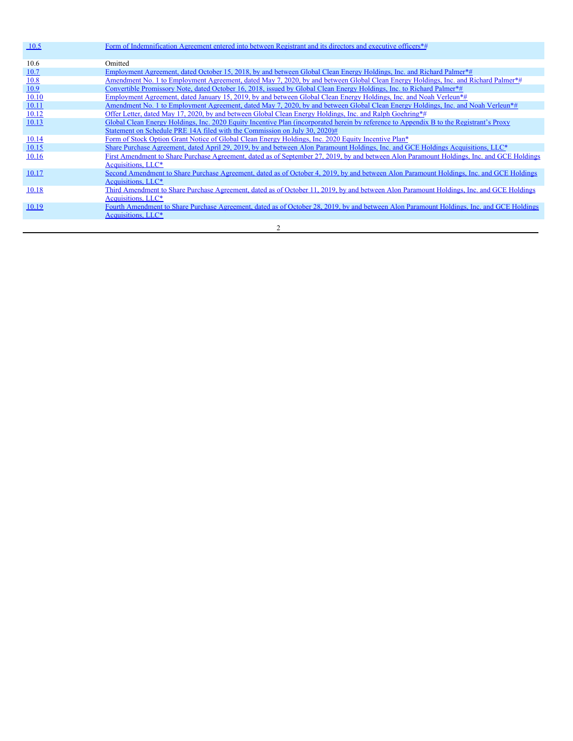| 10.5         | Form of Indemnification Agreement entered into between Registrant and its directors and executive officers*#                               |
|--------------|--------------------------------------------------------------------------------------------------------------------------------------------|
|              |                                                                                                                                            |
| 10.6         | Omitted                                                                                                                                    |
| 10.7         | Employment Agreement, dated October 15, 2018, by and between Global Clean Energy Holdings, Inc. and Richard Palmer*#                       |
| 10.8         | Amendment No. 1 to Employment Agreement, dated May 7, 2020, by and between Global Clean Energy Holdings, Inc. and Richard Palmer*#         |
| 10.9         | Convertible Promissory Note, dated October 16, 2018, issued by Global Clean Energy Holdings, Inc. to Richard Palmer*#                      |
| 10.10        | Employment Agreement, dated January 15, 2019, by and between Global Clean Energy Holdings, Inc. and Noah Verleun*#                         |
| <u>10.11</u> | Amendment No. 1 to Employment Agreement, dated May 7, 2020, by and between Global Clean Energy Holdings, Inc. and Noah Verleun*#           |
| 10.12        | Offer Letter, dated May 17, 2020, by and between Global Clean Energy Holdings, Inc. and Ralph Goehring*#                                   |
| 10.13        | Global Clean Energy Holdings, Inc. 2020 Equity Incentive Plan (incorporated herein by reference to Appendix B to the Registrant's Proxy    |
|              | Statement on Schedule PRE 14A filed with the Commission on July 30, 2020)#                                                                 |
| 10.14        | Form of Stock Option Grant Notice of Global Clean Energy Holdings, Inc. 2020 Equity Incentive Plan*                                        |
| 10.15        | Share Purchase Agreement, dated April 29, 2019, by and between Alon Paramount Holdings, Inc. and GCE Holdings Acquisitions, LLC*           |
| <u>10.16</u> | First Amendment to Share Purchase Agreement, dated as of September 27, 2019, by and between Alon Paramount Holdings, Inc. and GCE Holdings |
|              | Acquisitions, LLC*                                                                                                                         |
| 10.17        | Second Amendment to Share Purchase Agreement, dated as of October 4, 2019, by and between Alon Paramount Holdings, Inc. and GCE Holdings   |
|              | Acquisitions, LLC*                                                                                                                         |
| 10.18        | Third Amendment to Share Purchase Agreement, dated as of October 11, 2019, by and between Alon Paramount Holdings, Inc. and GCE Holdings   |
|              | Acquisitions, LLC*                                                                                                                         |
| 10.19        | Fourth Amendment to Share Purchase Agreement, dated as of October 28, 2019, by and between Alon Paramount Holdings, Inc. and GCE Holdings  |
|              | Acquisitions, LLC*                                                                                                                         |

2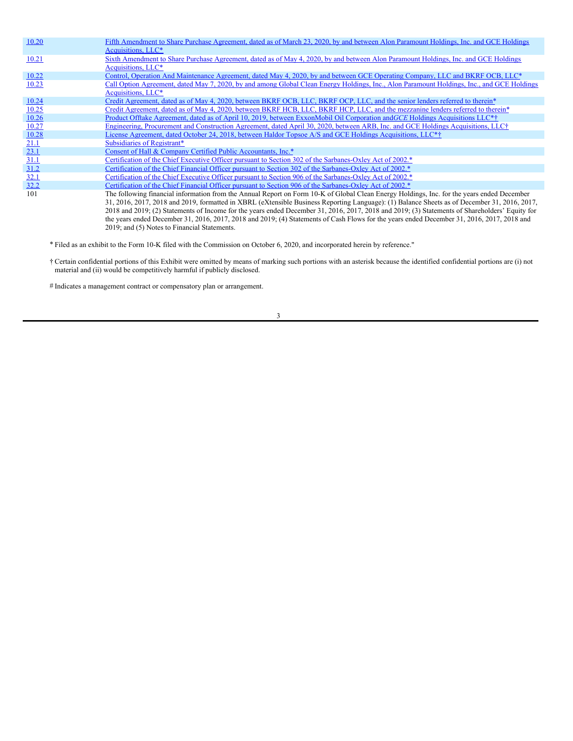| 10.20 | Fifth Amendment to Share Purchase Agreement, dated as of March 23, 2020, by and between Alon Paramount Holdings, Inc. and GCE Holdings<br>Acquisitions, LLC*                                                                                                                                                                                                                                                                                                                                                                                                                               |
|-------|--------------------------------------------------------------------------------------------------------------------------------------------------------------------------------------------------------------------------------------------------------------------------------------------------------------------------------------------------------------------------------------------------------------------------------------------------------------------------------------------------------------------------------------------------------------------------------------------|
| 10.21 | Sixth Amendment to Share Purchase Agreement, dated as of May 4, 2020, by and between Alon Paramount Holdings, Inc. and GCE Holdings<br>Acquisitions, LLC*                                                                                                                                                                                                                                                                                                                                                                                                                                  |
| 10.22 | Control, Operation And Maintenance Agreement, dated May 4, 2020, by and between GCE Operating Company, LLC and BKRF OCB, LLC*                                                                                                                                                                                                                                                                                                                                                                                                                                                              |
| 10.23 | Call Option Agreement, dated May 7, 2020, by and among Global Clean Energy Holdings, Inc., Alon Paramount Holdings, Inc., and GCE Holdings<br>Acquisitions, LLC*                                                                                                                                                                                                                                                                                                                                                                                                                           |
| 10.24 | Credit Agreement, dated as of May 4, 2020, between BKRF OCB, LLC, BKRF OCP, LLC, and the senior lenders referred to therein*                                                                                                                                                                                                                                                                                                                                                                                                                                                               |
| 10.25 | Credit Agreement, dated as of May 4, 2020, between BKRF HCB, LLC, BKRF HCP, LLC, and the mezzanine lenders referred to therein*                                                                                                                                                                                                                                                                                                                                                                                                                                                            |
| 10.26 | Product Offtake Agreement, dated as of April 10, 2019, between ExxonMobil Oil Corporation and GCE Holdings Acquisitions LLC <sup>*†</sup>                                                                                                                                                                                                                                                                                                                                                                                                                                                  |
| 10.27 | Engineering, Procurement and Construction Agreement, dated April 30, 2020, between ARB, Inc. and GCE Holdings Acquisitions, LLC†                                                                                                                                                                                                                                                                                                                                                                                                                                                           |
| 10.28 | License Agreement, dated October 24, 2018, between Haldor Topsoe A/S and GCE Holdings Acquisitions, LLC <sup>*†</sup>                                                                                                                                                                                                                                                                                                                                                                                                                                                                      |
| 21.1  | Subsidiaries of Registrant*                                                                                                                                                                                                                                                                                                                                                                                                                                                                                                                                                                |
| 23.1  | Consent of Hall & Company Certified Public Accountants, Inc.*                                                                                                                                                                                                                                                                                                                                                                                                                                                                                                                              |
| 31.1  | Certification of the Chief Executive Officer pursuant to Section 302 of the Sarbanes-Oxley Act of 2002.*                                                                                                                                                                                                                                                                                                                                                                                                                                                                                   |
| 31.2  | Certification of the Chief Financial Officer pursuant to Section 302 of the Sarbanes-Oxley Act of 2002.*                                                                                                                                                                                                                                                                                                                                                                                                                                                                                   |
| 32.1  | Certification of the Chief Executive Officer pursuant to Section 906 of the Sarbanes-Oxley Act of 2002.*                                                                                                                                                                                                                                                                                                                                                                                                                                                                                   |
| 32.2  | Certification of the Chief Financial Officer pursuant to Section 906 of the Sarbanes-Oxley Act of 2002.*                                                                                                                                                                                                                                                                                                                                                                                                                                                                                   |
| 101   | The following financial information from the Annual Report on Form 10-K of Global Clean Energy Holdings, Inc. for the years ended December<br>31, 2016, 2017, 2018 and 2019, formatted in XBRL (eXtensible Business Reporting Language): (1) Balance Sheets as of December 31, 2016, 2017,<br>2018 and 2019; (2) Statements of Income for the years ended December 31, 2016, 2017, 2018 and 2019; (3) Statements of Shareholders' Equity for<br>the years ended December 31, 2016, 2017, 2018 and 2019; (4) Statements of Cash Flows for the years ended December 31, 2016, 2017, 2018 and |

2019; and (5) Notes to Financial Statements.

\* Filed as an exhibit to the Form 10-K filed with the Commission on October 6, 2020, and incorporated herein by reference."

† Certain confidential portions of this Exhibit were omitted by means of marking such portions with an asterisk because the identified confidential portions are (i) not material and (ii) would be competitively harmful if publicly disclosed.

# Indicates a management contract or compensatory plan or arrangement.

3